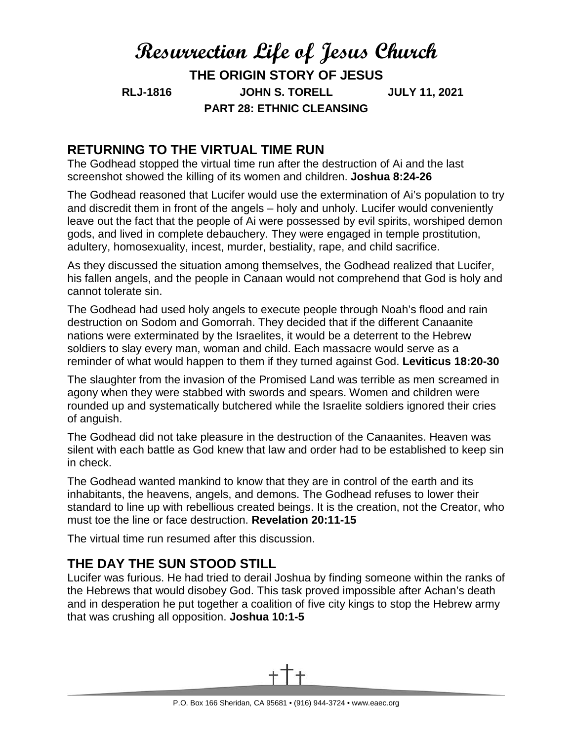# **Resurrection Life of Jesus Church THE ORIGIN STORY OF JESUS RLJ-1816 JOHN S. TORELL JULY 11, 2021 PART 28: ETHNIC CLEANSING**

#### **RETURNING TO THE VIRTUAL TIME RUN**

The Godhead stopped the virtual time run after the destruction of Ai and the last screenshot showed the killing of its women and children. **Joshua 8:24-26**

The Godhead reasoned that Lucifer would use the extermination of Ai's population to try and discredit them in front of the angels – holy and unholy. Lucifer would conveniently leave out the fact that the people of Ai were possessed by evil spirits, worshiped demon gods, and lived in complete debauchery. They were engaged in temple prostitution, adultery, homosexuality, incest, murder, bestiality, rape, and child sacrifice.

As they discussed the situation among themselves, the Godhead realized that Lucifer, his fallen angels, and the people in Canaan would not comprehend that God is holy and cannot tolerate sin.

The Godhead had used holy angels to execute people through Noah's flood and rain destruction on Sodom and Gomorrah. They decided that if the different Canaanite nations were exterminated by the Israelites, it would be a deterrent to the Hebrew soldiers to slay every man, woman and child. Each massacre would serve as a reminder of what would happen to them if they turned against God. **Leviticus 18:20-30**

The slaughter from the invasion of the Promised Land was terrible as men screamed in agony when they were stabbed with swords and spears. Women and children were rounded up and systematically butchered while the Israelite soldiers ignored their cries of anguish.

The Godhead did not take pleasure in the destruction of the Canaanites. Heaven was silent with each battle as God knew that law and order had to be established to keep sin in check.

The Godhead wanted mankind to know that they are in control of the earth and its inhabitants, the heavens, angels, and demons. The Godhead refuses to lower their standard to line up with rebellious created beings. It is the creation, not the Creator, who must toe the line or face destruction. **Revelation 20:11-15**

The virtual time run resumed after this discussion.

### **THE DAY THE SUN STOOD STILL**

Lucifer was furious. He had tried to derail Joshua by finding someone within the ranks of the Hebrews that would disobey God. This task proved impossible after Achan's death and in desperation he put together a coalition of five city kings to stop the Hebrew army that was crushing all opposition. **Joshua 10:1-5**